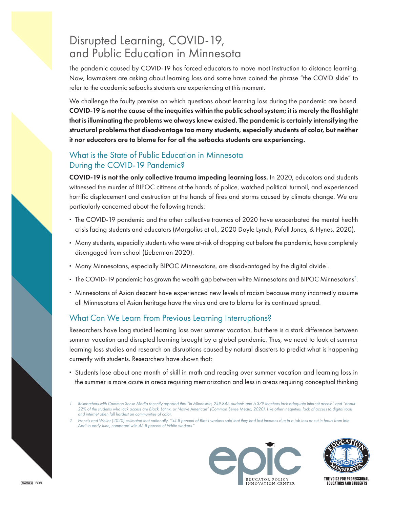## Disrupted Learning, COVID-19, and Public Education in Minnesota

The pandemic caused by COVID-19 has forced educators to move most instruction to distance learning. Now, lawmakers are asking about learning loss and some have coined the phrase "the COVID slide" to refer to the academic setbacks students are experiencing at this moment.

We challenge the faulty premise on which questions about learning loss during the pandemic are based. COVID-19 is not the cause of the inequities within the public school system; it is merely the flashlight that is illuminating the problems we always knew existed. The pandemic is certainly intensifying the structural problems that disadvantage too many students, especially students of color, but neither it nor educators are to blame for for all the setbacks students are experiencing.

## What is the State of Public Education in Minnesota During the COVID-19 Pandemic?

COVID-19 is not the only collective trauma impeding learning loss. In 2020, educators and students witnessed the murder of BIPOC citizens at the hands of police, watched political turmoil, and experienced horrific displacement and destruction at the hands of fires and storms caused by climate change. We are particularly concerned about the following trends:

- **•** The COVID-19 pandemic and the other collective traumas of 2020 have exacerbated the mental health crisis facing students and educators (Margolius et al., 2020 Doyle Lynch, Pufall Jones, & Hynes, 2020).
- **•** Many students, especially students who were at-risk of dropping out before the pandemic, have completely disengaged from school (Lieberman 2020).
- Many Minnesotans, especially BIPOC Minnesotans, are disadvantaged by the digital divide<sup>1</sup>.
- The COVID-19 pandemic has grown the wealth gap between white Minnesotans and BIPOC Minnesotans<sup>2</sup>.
- **•** Minnesotans of Asian descent have experienced new levels of racism because many incorrectly assume all Minnesotans of Asian heritage have the virus and are to blame for its continued spread.

## What Can We Learn From Previous Learning Interruptions?

Researchers have long studied learning loss over summer vacation, but there is a stark difference between summer vacation and disrupted learning brought by a global pandemic. Thus, we need to look at summer learning loss studies and research on disruptions caused by natural disasters to predict what is happening currently with students. Researchers have shown that:

**•** Students lose about one month of skill in math and reading over summer vacation and learning loss in the summer is more acute in areas requiring memorization and less in areas requiring conceptual thinking

*<sup>2</sup> Francis and Weller (2020) estimated that nationally, "54.8 percent of Black workers said that they had lost incomes due to a job loss or cut in hours from late April to early June, compared with 45.8 percent of White workers."*





*<sup>1</sup> Researchers with Common Sense Media recently reported that "in Minnesota, 249,845 students and 6,379 teachers lack adequate internet access" and "about 22% of the students who lack access are Black, Latinx, or Native American" (Common Sense Media, 2020). Like other inequities, lack of access to digital tools and internet often fall hardest on communities of color.*